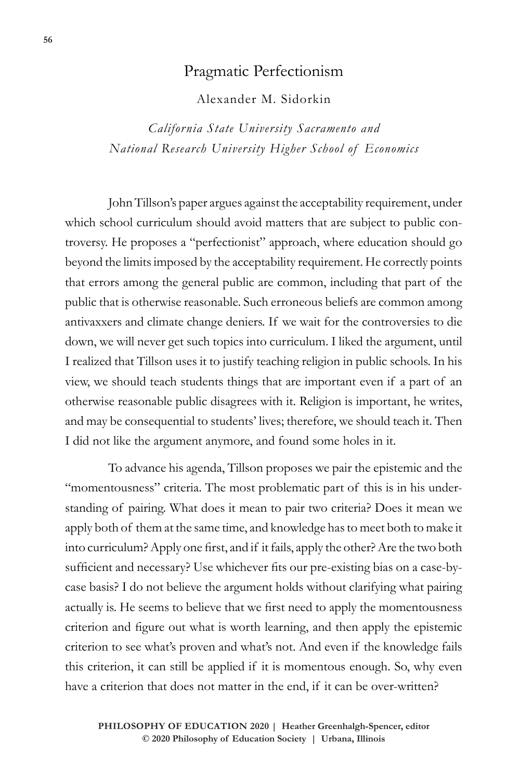## Pragmatic Perfectionism

Alexander M. Sidorkin

*California State University Sacramento and National Research University Higher School of Economics*

John Tillson's paper argues against the acceptability requirement, under which school curriculum should avoid matters that are subject to public controversy. He proposes a "perfectionist" approach, where education should go beyond the limits imposed by the acceptability requirement. He correctly points that errors among the general public are common, including that part of the public that is otherwise reasonable. Such erroneous beliefs are common among antivaxxers and climate change deniers. If we wait for the controversies to die down, we will never get such topics into curriculum. I liked the argument, until I realized that Tillson uses it to justify teaching religion in public schools. In his view, we should teach students things that are important even if a part of an otherwise reasonable public disagrees with it. Religion is important, he writes, and may be consequential to students' lives; therefore, we should teach it. Then I did not like the argument anymore, and found some holes in it.

To advance his agenda, Tillson proposes we pair the epistemic and the "momentousness" criteria. The most problematic part of this is in his understanding of pairing. What does it mean to pair two criteria? Does it mean we apply both of them at the same time, and knowledge has to meet both to make it into curriculum? Apply one first, and if it fails, apply the other? Are the two both sufficient and necessary? Use whichever fits our pre-existing bias on a case-bycase basis? I do not believe the argument holds without clarifying what pairing actually is. He seems to believe that we first need to apply the momentousness criterion and figure out what is worth learning, and then apply the epistemic criterion to see what's proven and what's not. And even if the knowledge fails this criterion, it can still be applied if it is momentous enough. So, why even have a criterion that does not matter in the end, if it can be over-written?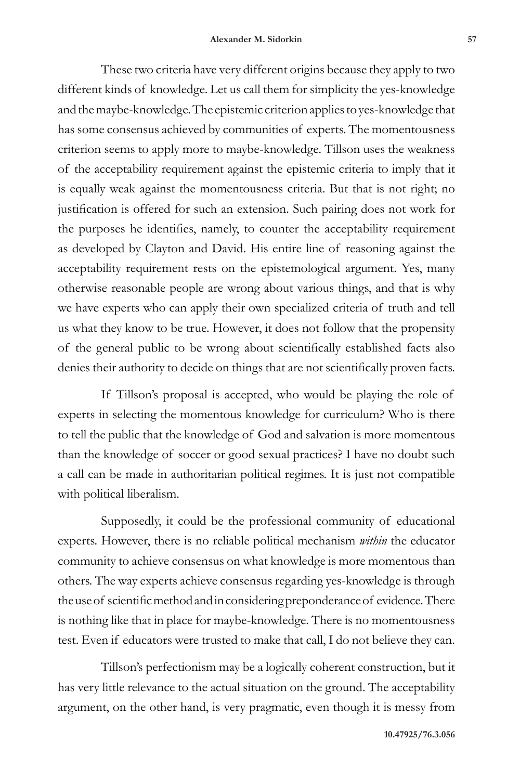These two criteria have very different origins because they apply to two different kinds of knowledge. Let us call them for simplicity the yes-knowledge and the maybe-knowledge. The epistemic criterion applies to yes-knowledge that has some consensus achieved by communities of experts. The momentousness criterion seems to apply more to maybe-knowledge. Tillson uses the weakness of the acceptability requirement against the epistemic criteria to imply that it is equally weak against the momentousness criteria. But that is not right; no justification is offered for such an extension. Such pairing does not work for the purposes he identifies, namely, to counter the acceptability requirement as developed by Clayton and David. His entire line of reasoning against the acceptability requirement rests on the epistemological argument. Yes, many otherwise reasonable people are wrong about various things, and that is why we have experts who can apply their own specialized criteria of truth and tell us what they know to be true. However, it does not follow that the propensity of the general public to be wrong about scientifically established facts also denies their authority to decide on things that are not scientifically proven facts.

If Tillson's proposal is accepted, who would be playing the role of experts in selecting the momentous knowledge for curriculum? Who is there to tell the public that the knowledge of God and salvation is more momentous than the knowledge of soccer or good sexual practices? I have no doubt such a call can be made in authoritarian political regimes. It is just not compatible with political liberalism.

Supposedly, it could be the professional community of educational experts. However, there is no reliable political mechanism *within* the educator community to achieve consensus on what knowledge is more momentous than others. The way experts achieve consensus regarding yes-knowledge is through the use of scientific method and in considering preponderance of evidence. There is nothing like that in place for maybe-knowledge. There is no momentousness test. Even if educators were trusted to make that call, I do not believe they can.

Tillson's perfectionism may be a logically coherent construction, but it has very little relevance to the actual situation on the ground. The acceptability argument, on the other hand, is very pragmatic, even though it is messy from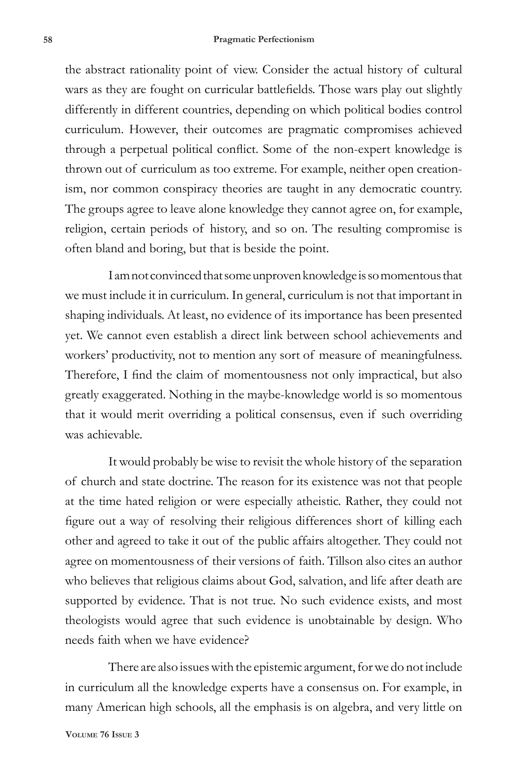the abstract rationality point of view. Consider the actual history of cultural wars as they are fought on curricular battlefields. Those wars play out slightly differently in different countries, depending on which political bodies control curriculum. However, their outcomes are pragmatic compromises achieved through a perpetual political conflict. Some of the non-expert knowledge is thrown out of curriculum as too extreme. For example, neither open creationism, nor common conspiracy theories are taught in any democratic country. The groups agree to leave alone knowledge they cannot agree on, for example, religion, certain periods of history, and so on. The resulting compromise is often bland and boring, but that is beside the point.

I am not convinced that some unproven knowledge is so momentous that we must include it in curriculum. In general, curriculum is not that important in shaping individuals. At least, no evidence of its importance has been presented yet. We cannot even establish a direct link between school achievements and workers' productivity, not to mention any sort of measure of meaningfulness. Therefore, I find the claim of momentousness not only impractical, but also greatly exaggerated. Nothing in the maybe-knowledge world is so momentous that it would merit overriding a political consensus, even if such overriding was achievable.

It would probably be wise to revisit the whole history of the separation of church and state doctrine. The reason for its existence was not that people at the time hated religion or were especially atheistic. Rather, they could not figure out a way of resolving their religious differences short of killing each other and agreed to take it out of the public affairs altogether. They could not agree on momentousness of their versions of faith. Tillson also cites an author who believes that religious claims about God, salvation, and life after death are supported by evidence. That is not true. No such evidence exists, and most theologists would agree that such evidence is unobtainable by design. Who needs faith when we have evidence?

There are also issues with the epistemic argument, for we do not include in curriculum all the knowledge experts have a consensus on. For example, in many American high schools, all the emphasis is on algebra, and very little on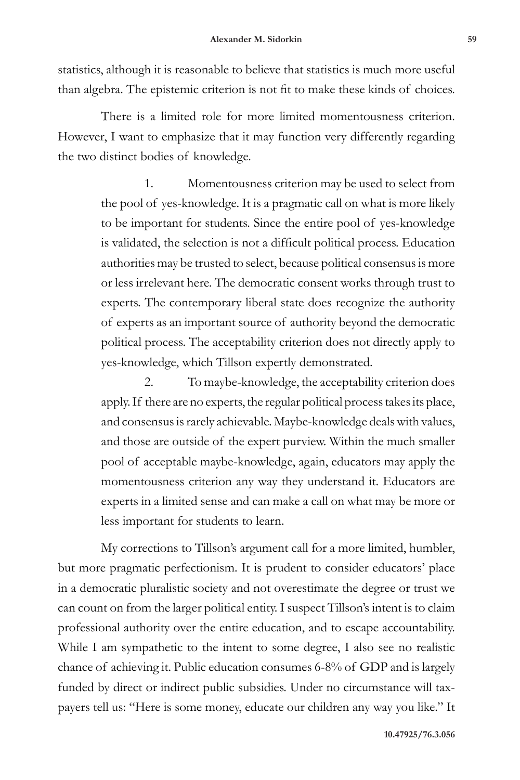statistics, although it is reasonable to believe that statistics is much more useful than algebra. The epistemic criterion is not fit to make these kinds of choices.

There is a limited role for more limited momentousness criterion. However, I want to emphasize that it may function very differently regarding the two distinct bodies of knowledge.

> 1. Momentousness criterion may be used to select from the pool of yes-knowledge. It is a pragmatic call on what is more likely to be important for students. Since the entire pool of yes-knowledge is validated, the selection is not a difficult political process. Education authorities may be trusted to select, because political consensus is more or less irrelevant here. The democratic consent works through trust to experts. The contemporary liberal state does recognize the authority of experts as an important source of authority beyond the democratic political process. The acceptability criterion does not directly apply to yes-knowledge, which Tillson expertly demonstrated.

> 2. To maybe-knowledge, the acceptability criterion does apply. If there are no experts, the regular political process takes its place, and consensus is rarely achievable. Maybe-knowledge deals with values, and those are outside of the expert purview. Within the much smaller pool of acceptable maybe-knowledge, again, educators may apply the momentousness criterion any way they understand it. Educators are experts in a limited sense and can make a call on what may be more or less important for students to learn.

My corrections to Tillson's argument call for a more limited, humbler, but more pragmatic perfectionism. It is prudent to consider educators' place in a democratic pluralistic society and not overestimate the degree or trust we can count on from the larger political entity. I suspect Tillson's intent is to claim professional authority over the entire education, and to escape accountability. While I am sympathetic to the intent to some degree, I also see no realistic chance of achieving it. Public education consumes 6-8% of GDP and is largely funded by direct or indirect public subsidies. Under no circumstance will taxpayers tell us: "Here is some money, educate our children any way you like." It